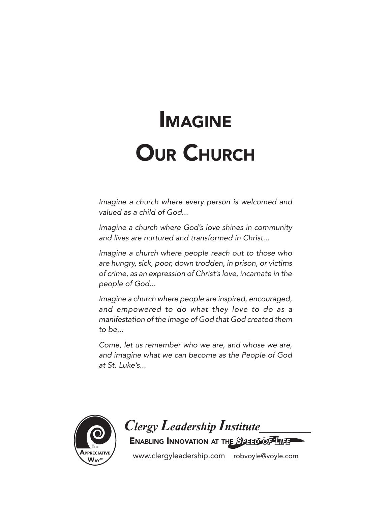## **IMAGINE OUR CHURCH**

*Imagine a church where every person is welcomed and valued as a child of God...*

*Imagine a church where God's love shines in community and lives are nurtured and transformed in Christ...*

*Imagine a church where people reach out to those who are hungry, sick, poor, down trodden, in prison, or victims of crime, as an expression of Christ's love, incarnate in the people of God...*

*Imagine a church where people are inspired, encouraged, and empowered to do what they love to do as a manifestation of the image of God that God created them to be...* 

*Come, let us remember who we are, and whose we are, and imagine what we can become as the People of God at St. Luke's...* 



*Clergy Leadership Institute\_\_\_\_\_\_\_\_\_* Enabling Innovation at the *Speed of Life*

www.clergyleadership.com robvoyle@voyle.com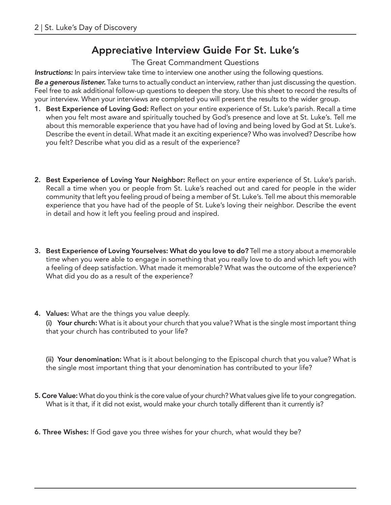## Appreciative Interview Guide For St. Luke's

The Great Commandment Questions

*Instructions:* In pairs interview take time to interview one another using the following questions.

*Be a generous listener.* Take turns to actually conduct an interview, rather than just discussing the question. Feel free to ask additional follow-up questions to deepen the story. Use this sheet to record the results of your interview. When your interviews are completed you will present the results to the wider group.

- 1. Best Experience of Loving God: Reflect on your entire experience of St. Luke's parish. Recall a time when you felt most aware and spiritually touched by God's presence and love at St. Luke's. Tell me about this memorable experience that you have had of loving and being loved by God at St. Luke's. Describe the event in detail. What made it an exciting experience? Who was involved? Describe how you felt? Describe what you did as a result of the experience?
- 2. Best Experience of Loving Your Neighbor: Reflect on your entire experience of St. Luke's parish. Recall a time when you or people from St. Luke's reached out and cared for people in the wider community that left you feeling proud of being a member of St. Luke's. Tell me about this memorable experience that you have had of the people of St. Luke's loving their neighbor. Describe the event in detail and how it left you feeling proud and inspired.
- 3. Best Experience of Loving Yourselves: What do you love to do? Tell me a story about a memorable time when you were able to engage in something that you really love to do and which left you with a feeling of deep satisfaction. What made it memorable? What was the outcome of the experience? What did you do as a result of the experience?
- 4. Values: What are the things you value deeply.

(i) Your church: What is it about your church that you value? What is the single most important thing that your church has contributed to your life?

(ii) Your denomination: What is it about belonging to the Episcopal church that you value? What is the single most important thing that your denomination has contributed to your life?

- 5. Core Value: What do you think is the core value of your church? What values give life to your congregation. What is it that, if it did not exist, would make your church totally different than it currently is?
- 6. Three Wishes: If God gave you three wishes for your church, what would they be?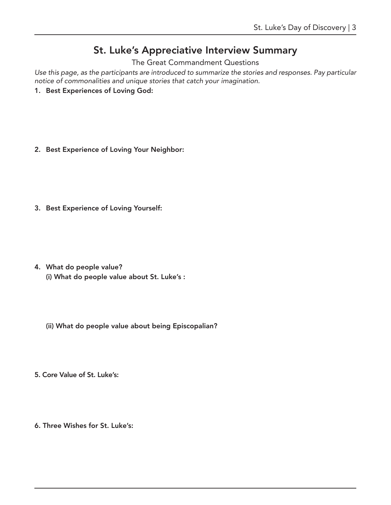## St. Luke's Appreciative Interview Summary

The Great Commandment Questions

*Use this page, as the participants are introduced to summarize the stories and responses. Pay particular notice of commonalities and unique stories that catch your imagination.*

- 1. Best Experiences of Loving God:
- 2. Best Experience of Loving Your Neighbor:

- 3. Best Experience of Loving Yourself:
- 4. What do people value? (i) What do people value about St. Luke's :
	- (ii) What do people value about being Episcopalian?
- 5. Core Value of St. Luke's:
- 6. Three Wishes for St. Luke's: